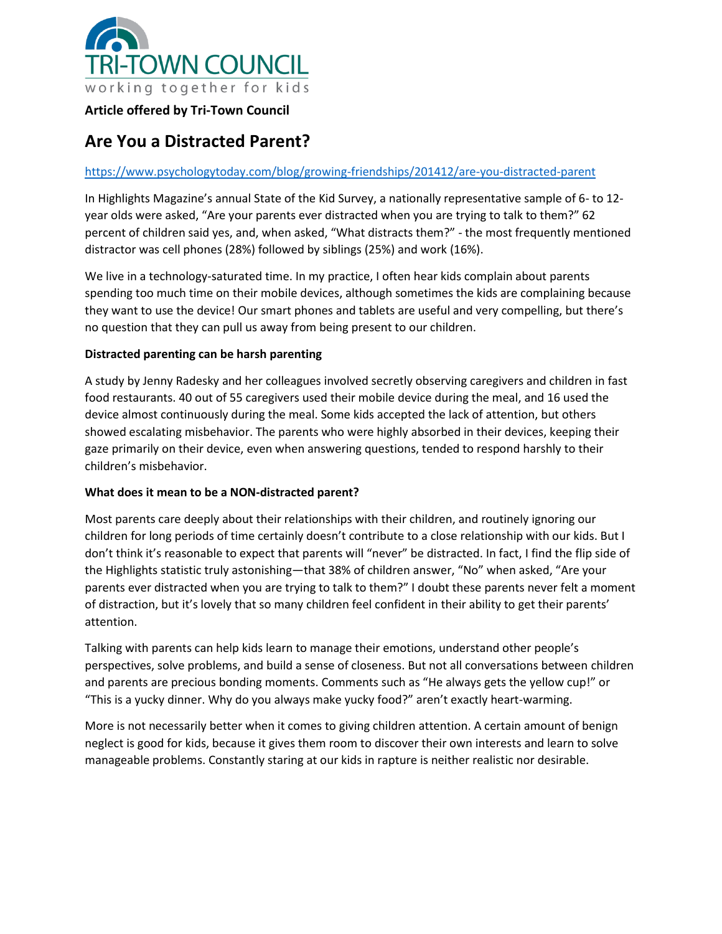

## **Article offered by Tri-Town Council**

# **Are You a Distracted Parent?**

## <https://www.psychologytoday.com/blog/growing-friendships/201412/are-you-distracted-parent>

In Highlights Magazine's annual State of the Kid Survey, a nationally representative sample of 6- to 12 year olds were asked, "Are your parents ever distracted when you are trying to talk to them?" 62 percent of children said yes, and, when asked, "What distracts them?" - the most frequently mentioned distractor was cell phones (28%) followed by siblings (25%) and work (16%).

We live in a technology-saturated time. In my practice, I often hear kids complain about parents spending too much time on their mobile devices, although sometimes the kids are complaining because they want to use the device! Our smart phones and tablets are useful and very compelling, but there's no question that they can pull us away from being present to our children.

### **Distracted parenting can be harsh parenting**

A study by Jenny Radesky and her colleagues involved secretly observing caregivers and children in fast food restaurants. 40 out of 55 caregivers used their mobile device during the meal, and 16 used the device almost continuously during the meal. Some kids accepted the lack of attention, but others showed escalating misbehavior. The parents who were highly absorbed in their devices, keeping their gaze primarily on their device, even when answering questions, tended to respond harshly to their children's misbehavior.

#### **What does it mean to be a NON-distracted parent?**

Most parents care deeply about their relationships with their children, and routinely ignoring our children for long periods of time certainly doesn't contribute to a close relationship with our kids. But I don't think it's reasonable to expect that parents will "never" be distracted. In fact, I find the flip side of the Highlights statistic truly astonishing—that 38% of children answer, "No" when asked, "Are your parents ever distracted when you are trying to talk to them?" I doubt these parents never felt a moment of distraction, but it's lovely that so many children feel confident in their ability to get their parents' attention.

Talking with parents can help kids learn to manage their emotions, understand other people's perspectives, solve problems, and build a sense of closeness. But not all conversations between children and parents are precious bonding moments. Comments such as "He always gets the yellow cup!" or "This is a yucky dinner. Why do you always make yucky food?" aren't exactly heart-warming.

More is not necessarily better when it comes to giving children attention. A certain amount of benign neglect is good for kids, because it gives them room to discover their own interests and learn to solve manageable problems. Constantly staring at our kids in rapture is neither realistic nor desirable.